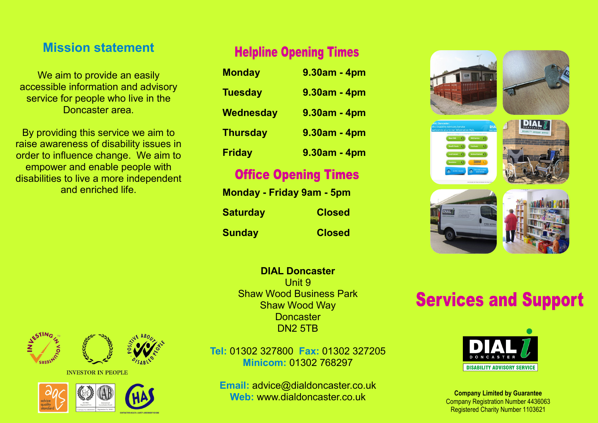# **Mission statement**

We aim to provide an easily accessible information and advisory service for people who live in the Doncaster area.

By providing this service we aim to raise awareness of disability issues in order to influence change. We aim to empower and enable people with disabilities to live a more independent and enriched life.

# **Helpline Opening Times**

| <b>Monday</b>    | $9.30$ am - 4pm |
|------------------|-----------------|
| <b>Tuesday</b>   | $9.30$ am - 4pm |
| <b>Wednesday</b> | $9.30am - 4pm$  |
| <b>Thursday</b>  | 9.30am - 4pm    |
| <b>Friday</b>    | 9.30am - 4pm    |

# **Office Opening Times**

| <b>Monday - Friday 9am - 5pm</b> |               |
|----------------------------------|---------------|
| <b>Saturday</b>                  | <b>Closed</b> |
| <b>Sunday</b>                    | <b>Closed</b> |

**DIAL Doncaster** Unit 9 Shaw Wood Business Park Shaw Wood Way **Doncaster** DN2 5TB



**INVESTOR IN PEOPLE** 



**Tel:** 01302 327800 **Fax:** 01302 327205 **Minicom:** 01302 768297

**Email:** advice@dialdoncaster.co.uk **Web:** www.dialdoncaster.co.uk







# **Services and Support**



**Company Limited by Guarantee**  Company Registration Number 4436063 Registered Charity Number 1103621